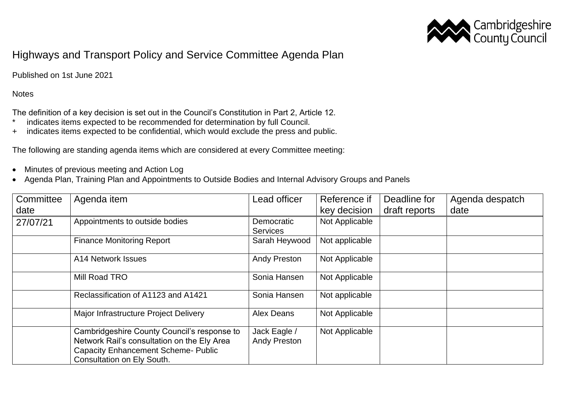

## Highways and Transport Policy and Service Committee Agenda Plan

Published on 1st June 2021

## **Notes**

The definition of a key decision is set out in the Council's Constitution in Part 2, Article 12.

- \* indicates items expected to be recommended for determination by full Council.
- + indicates items expected to be confidential, which would exclude the press and public.

The following are standing agenda items which are considered at every Committee meeting:

- Minutes of previous meeting and Action Log
- Agenda Plan, Training Plan and Appointments to Outside Bodies and Internal Advisory Groups and Panels

| Committee | Agenda item                                                                                                                                                            | Lead officer                        | Reference if   | Deadline for  | Agenda despatch |
|-----------|------------------------------------------------------------------------------------------------------------------------------------------------------------------------|-------------------------------------|----------------|---------------|-----------------|
| date      |                                                                                                                                                                        |                                     | key decision   | draft reports | date            |
| 27/07/21  | Appointments to outside bodies                                                                                                                                         | Democratic<br><b>Services</b>       | Not Applicable |               |                 |
|           | <b>Finance Monitoring Report</b>                                                                                                                                       | Sarah Heywood                       | Not applicable |               |                 |
|           | A14 Network Issues                                                                                                                                                     | <b>Andy Preston</b>                 | Not Applicable |               |                 |
|           | Mill Road TRO                                                                                                                                                          | Sonia Hansen                        | Not Applicable |               |                 |
|           | Reclassification of A1123 and A1421                                                                                                                                    | Sonia Hansen                        | Not applicable |               |                 |
|           | Major Infrastructure Project Delivery                                                                                                                                  | Alex Deans                          | Not Applicable |               |                 |
|           | Cambridgeshire County Council's response to<br>Network Rail's consultation on the Ely Area<br><b>Capacity Enhancement Scheme- Public</b><br>Consultation on Ely South. | Jack Eagle /<br><b>Andy Preston</b> | Not Applicable |               |                 |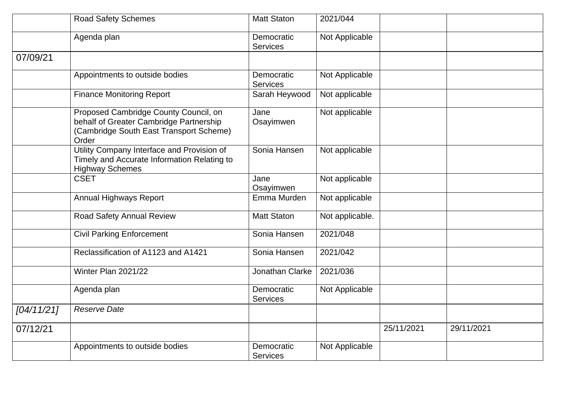|            | <b>Road Safety Schemes</b>                                                                                                           | <b>Matt Staton</b>            | 2021/044        |            |            |
|------------|--------------------------------------------------------------------------------------------------------------------------------------|-------------------------------|-----------------|------------|------------|
|            | Agenda plan                                                                                                                          | Democratic<br><b>Services</b> | Not Applicable  |            |            |
| 07/09/21   |                                                                                                                                      |                               |                 |            |            |
|            | Appointments to outside bodies                                                                                                       | Democratic<br><b>Services</b> | Not Applicable  |            |            |
|            | <b>Finance Monitoring Report</b>                                                                                                     | Sarah Heywood                 | Not applicable  |            |            |
|            | Proposed Cambridge County Council, on<br>behalf of Greater Cambridge Partnership<br>(Cambridge South East Transport Scheme)<br>Order | Jane<br>Osayimwen             | Not applicable  |            |            |
|            | Utility Company Interface and Provision of<br>Timely and Accurate Information Relating to<br><b>Highway Schemes</b>                  | Sonia Hansen                  | Not applicable  |            |            |
|            | <b>CSET</b>                                                                                                                          | Jane<br>Osayimwen             | Not applicable  |            |            |
|            | Annual Highways Report                                                                                                               | Emma Murden                   | Not applicable  |            |            |
|            | Road Safety Annual Review                                                                                                            | <b>Matt Staton</b>            | Not applicable. |            |            |
|            | <b>Civil Parking Enforcement</b>                                                                                                     | Sonia Hansen                  | 2021/048        |            |            |
|            | Reclassification of A1123 and A1421                                                                                                  | Sonia Hansen                  | 2021/042        |            |            |
|            | Winter Plan 2021/22                                                                                                                  | Jonathan Clarke               | 2021/036        |            |            |
|            | Agenda plan                                                                                                                          | Democratic<br><b>Services</b> | Not Applicable  |            |            |
| [04/11/21] | <b>Reserve Date</b>                                                                                                                  |                               |                 |            |            |
| 07/12/21   |                                                                                                                                      |                               |                 | 25/11/2021 | 29/11/2021 |
|            | Appointments to outside bodies                                                                                                       | Democratic<br><b>Services</b> | Not Applicable  |            |            |